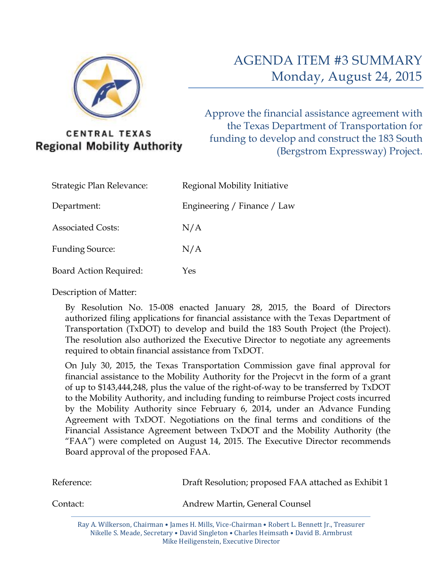

**CENTRAL TEXAS Regional Mobility Authority**  Approve the financial assistance agreement with the Texas Department of Transportation for funding to develop and construct the 183 South (Bergstrom Expressway) Project.

| Strategic Plan Relevance:     | Regional Mobility Initiative |
|-------------------------------|------------------------------|
| Department:                   | Engineering / Finance / Law  |
| <b>Associated Costs:</b>      | N/A                          |
| <b>Funding Source:</b>        | N/A                          |
| <b>Board Action Required:</b> | Yes                          |

Description of Matter:

By Resolution No. 15-008 enacted January 28, 2015, the Board of Directors authorized filing applications for financial assistance with the Texas Department of Transportation (TxDOT) to develop and build the 183 South Project (the Project). The resolution also authorized the Executive Director to negotiate any agreements required to obtain financial assistance from TxDOT.

On July 30, 2015, the Texas Transportation Commission gave final approval for financial assistance to the Mobility Authority for the Projecvt in the form of a grant of up to \$143,444,248, plus the value of the right-of-way to be transferred by TxDOT to the Mobility Authority, and including funding to reimburse Project costs incurred by the Mobility Authority since February 6, 2014, under an Advance Funding Agreement with TxDOT. Negotiations on the final terms and conditions of the Financial Assistance Agreement between TxDOT and the Mobility Authority (the "FAA") were completed on August 14, 2015. The Executive Director recommends Board approval of the proposed FAA.

| Reference: | Draft Resolution; proposed FAA attached as Exhibit 1                                                                                                                                  |
|------------|---------------------------------------------------------------------------------------------------------------------------------------------------------------------------------------|
| Contact:   | Andrew Martin, General Counsel                                                                                                                                                        |
|            | Ray A. Wilkerson, Chairman • James H. Mills, Vice-Chairman • Robert L. Bennett Jr., Treasurer<br>Nikelle S. Meade, Secretary • David Singleton • Charles Heimsath • David B. Armbrust |

Mike Heiligenstein, Executive Director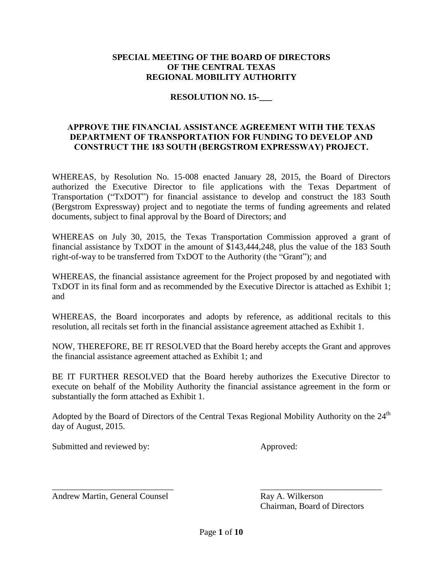#### **SPECIAL MEETING OF THE BOARD OF DIRECTORS OF THE CENTRAL TEXAS REGIONAL MOBILITY AUTHORITY**

#### **RESOLUTION NO. 15-\_\_\_**

#### **APPROVE THE FINANCIAL ASSISTANCE AGREEMENT WITH THE TEXAS DEPARTMENT OF TRANSPORTATION FOR FUNDING TO DEVELOP AND CONSTRUCT THE 183 SOUTH (BERGSTROM EXPRESSWAY) PROJECT.**

WHEREAS, by Resolution No. 15-008 enacted January 28, 2015, the Board of Directors authorized the Executive Director to file applications with the Texas Department of Transportation ("TxDOT") for financial assistance to develop and construct the 183 South (Bergstrom Expressway) project and to negotiate the terms of funding agreements and related documents, subject to final approval by the Board of Directors; and

WHEREAS on July 30, 2015, the Texas Transportation Commission approved a grant of financial assistance by TxDOT in the amount of \$143,444,248, plus the value of the 183 South right-of-way to be transferred from TxDOT to the Authority (the "Grant"); and

WHEREAS, the financial assistance agreement for the Project proposed by and negotiated with TxDOT in its final form and as recommended by the Executive Director is attached as Exhibit 1; and

WHEREAS, the Board incorporates and adopts by reference, as additional recitals to this resolution, all recitals set forth in the financial assistance agreement attached as Exhibit 1.

NOW, THEREFORE, BE IT RESOLVED that the Board hereby accepts the Grant and approves the financial assistance agreement attached as Exhibit 1; and

BE IT FURTHER RESOLVED that the Board hereby authorizes the Executive Director to execute on behalf of the Mobility Authority the financial assistance agreement in the form or substantially the form attached as Exhibit 1.

Adopted by the Board of Directors of the Central Texas Regional Mobility Authority on the 24<sup>th</sup> day of August, 2015.

Submitted and reviewed by: Approved:

Andrew Martin, General Counsel **Ray A. Wilkerson** 

Chairman, Board of Directors

\_\_\_\_\_\_\_\_\_\_\_\_\_\_\_\_\_\_\_\_\_\_\_\_\_\_\_\_ \_\_\_\_\_\_\_\_\_\_\_\_\_\_\_\_\_\_\_\_\_\_\_\_\_\_\_\_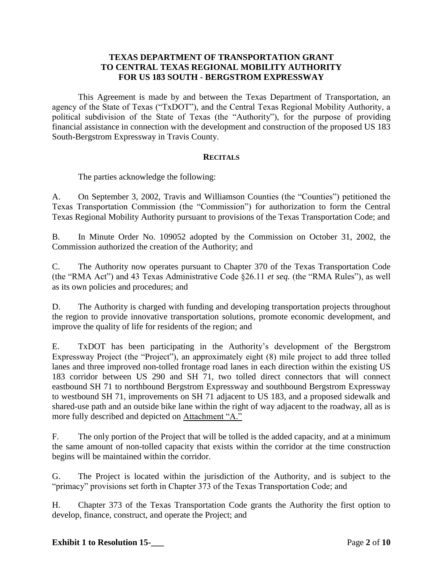#### **TEXAS DEPARTMENT OF TRANSPORTATION GRANT TO CENTRAL TEXAS REGIONAL MOBILITY AUTHORITY FOR US 183 SOUTH - BERGSTROM EXPRESSWAY**

This Agreement is made by and between the Texas Department of Transportation, an agency of the State of Texas ("TxDOT"), and the Central Texas Regional Mobility Authority, a political subdivision of the State of Texas (the "Authority"), for the purpose of providing financial assistance in connection with the development and construction of the proposed US 183 South-Bergstrom Expressway in Travis County.

#### **RECITALS**

The parties acknowledge the following:

A. On September 3, 2002, Travis and Williamson Counties (the "Counties") petitioned the Texas Transportation Commission (the "Commission") for authorization to form the Central Texas Regional Mobility Authority pursuant to provisions of the Texas Transportation Code; and

B. In Minute Order No. 109052 adopted by the Commission on October 31, 2002, the Commission authorized the creation of the Authority; and

C. The Authority now operates pursuant to Chapter 370 of the Texas Transportation Code (the "RMA Act") and 43 Texas Administrative Code §26.11 *et seq.* (the "RMA Rules"), as well as its own policies and procedures; and

D. The Authority is charged with funding and developing transportation projects throughout the region to provide innovative transportation solutions, promote economic development, and improve the quality of life for residents of the region; and

E. TxDOT has been participating in the Authority's development of the Bergstrom Expressway Project (the "Project"), an approximately eight (8) mile project to add three tolled lanes and three improved non-tolled frontage road lanes in each direction within the existing US 183 corridor between US 290 and SH 71, two tolled direct connectors that will connect eastbound SH 71 to northbound Bergstrom Expressway and southbound Bergstrom Expressway to westbound SH 71, improvements on SH 71 adjacent to US 183, and a proposed sidewalk and shared-use path and an outside bike lane within the right of way adjacent to the roadway, all as is more fully described and depicted on Attachment "A."

F. The only portion of the Project that will be tolled is the added capacity, and at a minimum the same amount of non-tolled capacity that exists within the corridor at the time construction begins will be maintained within the corridor.

G. The Project is located within the jurisdiction of the Authority, and is subject to the "primacy" provisions set forth in Chapter 373 of the Texas Transportation Code; and

H. Chapter 373 of the Texas Transportation Code grants the Authority the first option to develop, finance, construct, and operate the Project; and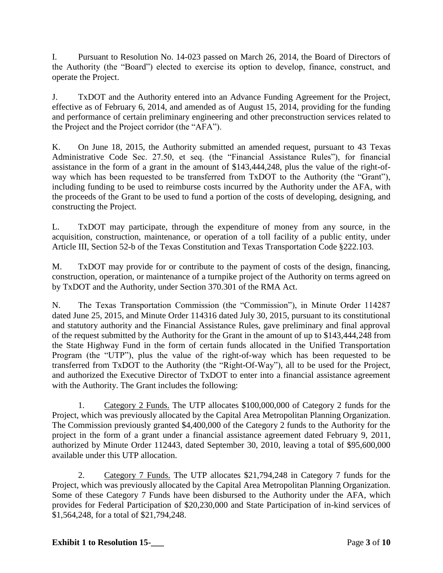I. Pursuant to Resolution No. 14-023 passed on March 26, 2014, the Board of Directors of the Authority (the "Board") elected to exercise its option to develop, finance, construct, and operate the Project.

J. TxDOT and the Authority entered into an Advance Funding Agreement for the Project, effective as of February 6, 2014, and amended as of August 15, 2014, providing for the funding and performance of certain preliminary engineering and other preconstruction services related to the Project and the Project corridor (the "AFA").

K. On June 18, 2015, the Authority submitted an amended request, pursuant to 43 Texas Administrative Code Sec. 27.50, et seq. (the "Financial Assistance Rules"), for financial assistance in the form of a grant in the amount of \$143,444,248, plus the value of the right-ofway which has been requested to be transferred from TxDOT to the Authority (the "Grant"), including funding to be used to reimburse costs incurred by the Authority under the AFA, with the proceeds of the Grant to be used to fund a portion of the costs of developing, designing, and constructing the Project.

L. TxDOT may participate, through the expenditure of money from any source, in the acquisition, construction, maintenance, or operation of a toll facility of a public entity, under Article III, Section 52-b of the Texas Constitution and Texas Transportation Code §222.103.

M. TxDOT may provide for or contribute to the payment of costs of the design, financing, construction, operation, or maintenance of a turnpike project of the Authority on terms agreed on by TxDOT and the Authority, under Section 370.301 of the RMA Act.

N. The Texas Transportation Commission (the "Commission"), in Minute Order 114287 dated June 25, 2015, and Minute Order 114316 dated July 30, 2015, pursuant to its constitutional and statutory authority and the Financial Assistance Rules, gave preliminary and final approval of the request submitted by the Authority for the Grant in the amount of up to \$143,444,248 from the State Highway Fund in the form of certain funds allocated in the Unified Transportation Program (the "UTP"), plus the value of the right-of-way which has been requested to be transferred from TxDOT to the Authority (the "Right-Of-Way"), all to be used for the Project, and authorized the Executive Director of TxDOT to enter into a financial assistance agreement with the Authority. The Grant includes the following:

1. Category 2 Funds. The UTP allocates \$100,000,000 of Category 2 funds for the Project, which was previously allocated by the Capital Area Metropolitan Planning Organization. The Commission previously granted \$4,400,000 of the Category 2 funds to the Authority for the project in the form of a grant under a financial assistance agreement dated February 9, 2011, authorized by Minute Order 112443, dated September 30, 2010, leaving a total of \$95,600,000 available under this UTP allocation.

2. Category 7 Funds. The UTP allocates \$21,794,248 in Category 7 funds for the Project, which was previously allocated by the Capital Area Metropolitan Planning Organization. Some of these Category 7 Funds have been disbursed to the Authority under the AFA, which provides for Federal Participation of \$20,230,000 and State Participation of in-kind services of \$1,564,248, for a total of \$21,794,248.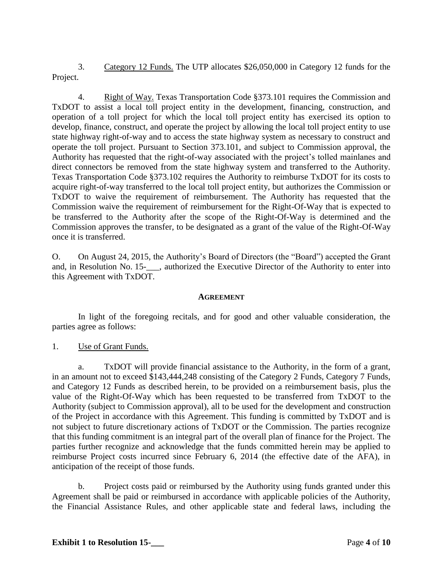3. Category 12 Funds. The UTP allocates \$26,050,000 in Category 12 funds for the Project.

4. Right of Way. Texas Transportation Code §373.101 requires the Commission and TxDOT to assist a local toll project entity in the development, financing, construction, and operation of a toll project for which the local toll project entity has exercised its option to develop, finance, construct, and operate the project by allowing the local toll project entity to use state highway right-of-way and to access the state highway system as necessary to construct and operate the toll project. Pursuant to Section 373.101, and subject to Commission approval, the Authority has requested that the right-of-way associated with the project's tolled mainlanes and direct connectors be removed from the state highway system and transferred to the Authority. Texas Transportation Code §373.102 requires the Authority to reimburse TxDOT for its costs to acquire right-of-way transferred to the local toll project entity, but authorizes the Commission or TxDOT to waive the requirement of reimbursement. The Authority has requested that the Commission waive the requirement of reimbursement for the Right-Of-Way that is expected to be transferred to the Authority after the scope of the Right-Of-Way is determined and the Commission approves the transfer, to be designated as a grant of the value of the Right-Of-Way once it is transferred.

O. On August 24, 2015, the Authority's Board of Directors (the "Board") accepted the Grant and, in Resolution No. 15-<br>  $\alpha$ , authorized the Executive Director of the Authority to enter into this Agreement with TxDOT.

#### **AGREEMENT**

In light of the foregoing recitals, and for good and other valuable consideration, the parties agree as follows:

1. Use of Grant Funds.

a. TxDOT will provide financial assistance to the Authority, in the form of a grant, in an amount not to exceed \$143,444,248 consisting of the Category 2 Funds, Category 7 Funds, and Category 12 Funds as described herein, to be provided on a reimbursement basis, plus the value of the Right-Of-Way which has been requested to be transferred from TxDOT to the Authority (subject to Commission approval), all to be used for the development and construction of the Project in accordance with this Agreement. This funding is committed by TxDOT and is not subject to future discretionary actions of TxDOT or the Commission. The parties recognize that this funding commitment is an integral part of the overall plan of finance for the Project. The parties further recognize and acknowledge that the funds committed herein may be applied to reimburse Project costs incurred since February 6, 2014 (the effective date of the AFA), in anticipation of the receipt of those funds.

b. Project costs paid or reimbursed by the Authority using funds granted under this Agreement shall be paid or reimbursed in accordance with applicable policies of the Authority, the Financial Assistance Rules, and other applicable state and federal laws, including the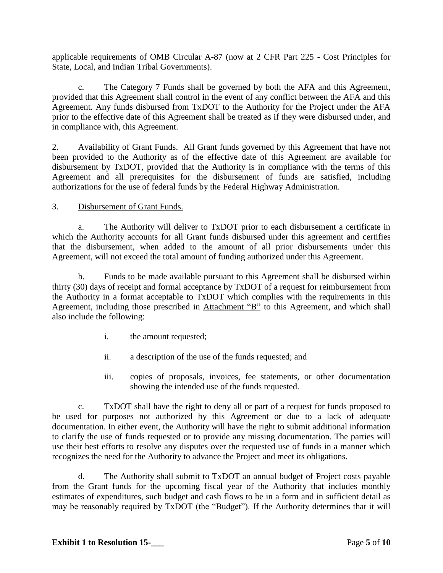applicable requirements of OMB Circular A-87 (now at 2 CFR Part 225 - Cost Principles for State, Local, and Indian Tribal Governments).

c. The Category 7 Funds shall be governed by both the AFA and this Agreement, provided that this Agreement shall control in the event of any conflict between the AFA and this Agreement. Any funds disbursed from TxDOT to the Authority for the Project under the AFA prior to the effective date of this Agreement shall be treated as if they were disbursed under, and in compliance with, this Agreement.

2. Availability of Grant Funds. All Grant funds governed by this Agreement that have not been provided to the Authority as of the effective date of this Agreement are available for disbursement by TxDOT, provided that the Authority is in compliance with the terms of this Agreement and all prerequisites for the disbursement of funds are satisfied, including authorizations for the use of federal funds by the Federal Highway Administration.

## 3. Disbursement of Grant Funds.

a. The Authority will deliver to TxDOT prior to each disbursement a certificate in which the Authority accounts for all Grant funds disbursed under this agreement and certifies that the disbursement, when added to the amount of all prior disbursements under this Agreement, will not exceed the total amount of funding authorized under this Agreement.

b. Funds to be made available pursuant to this Agreement shall be disbursed within thirty (30) days of receipt and formal acceptance by TxDOT of a request for reimbursement from the Authority in a format acceptable to TxDOT which complies with the requirements in this Agreement, including those prescribed in Attachment "B" to this Agreement, and which shall also include the following:

- i. the amount requested;
- ii. a description of the use of the funds requested; and
- iii. copies of proposals, invoices, fee statements, or other documentation showing the intended use of the funds requested.

c. TxDOT shall have the right to deny all or part of a request for funds proposed to be used for purposes not authorized by this Agreement or due to a lack of adequate documentation. In either event, the Authority will have the right to submit additional information to clarify the use of funds requested or to provide any missing documentation. The parties will use their best efforts to resolve any disputes over the requested use of funds in a manner which recognizes the need for the Authority to advance the Project and meet its obligations.

d. The Authority shall submit to TxDOT an annual budget of Project costs payable from the Grant funds for the upcoming fiscal year of the Authority that includes monthly estimates of expenditures, such budget and cash flows to be in a form and in sufficient detail as may be reasonably required by TxDOT (the "Budget"). If the Authority determines that it will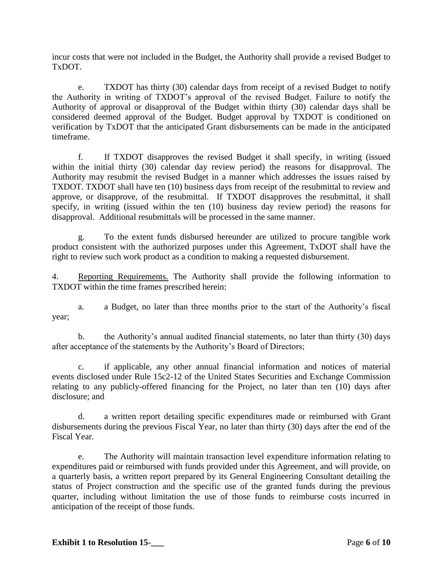incur costs that were not included in the Budget, the Authority shall provide a revised Budget to TxDOT.

e. TXDOT has thirty (30) calendar days from receipt of a revised Budget to notify the Authority in writing of TXDOT's approval of the revised Budget. Failure to notify the Authority of approval or disapproval of the Budget within thirty (30) calendar days shall be considered deemed approval of the Budget. Budget approval by TXDOT is conditioned on verification by TxDOT that the anticipated Grant disbursements can be made in the anticipated timeframe.

f. If TXDOT disapproves the revised Budget it shall specify, in writing (issued within the initial thirty (30) calendar day review period) the reasons for disapproval. The Authority may resubmit the revised Budget in a manner which addresses the issues raised by TXDOT. TXDOT shall have ten (10) business days from receipt of the resubmittal to review and approve, or disapprove, of the resubmittal. If TXDOT disapproves the resubmittal, it shall specify, in writing (issued within the ten (10) business day review period) the reasons for disapproval. Additional resubmittals will be processed in the same manner.

g. To the extent funds disbursed hereunder are utilized to procure tangible work product consistent with the authorized purposes under this Agreement, TxDOT shall have the right to review such work product as a condition to making a requested disbursement.

4. Reporting Requirements. The Authority shall provide the following information to TXDOT within the time frames prescribed herein:

a. a Budget, no later than three months prior to the start of the Authority's fiscal year;

b. the Authority's annual audited financial statements, no later than thirty (30) days after acceptance of the statements by the Authority's Board of Directors;

c. if applicable, any other annual financial information and notices of material events disclosed under Rule 15c2-12 of the United States Securities and Exchange Commission relating to any publicly-offered financing for the Project, no later than ten (10) days after disclosure; and

d. a written report detailing specific expenditures made or reimbursed with Grant disbursements during the previous Fiscal Year, no later than thirty (30) days after the end of the Fiscal Year.

e. The Authority will maintain transaction level expenditure information relating to expenditures paid or reimbursed with funds provided under this Agreement, and will provide, on a quarterly basis, a written report prepared by its General Engineering Consultant detailing the status of Project construction and the specific use of the granted funds during the previous quarter, including without limitation the use of those funds to reimburse costs incurred in anticipation of the receipt of those funds.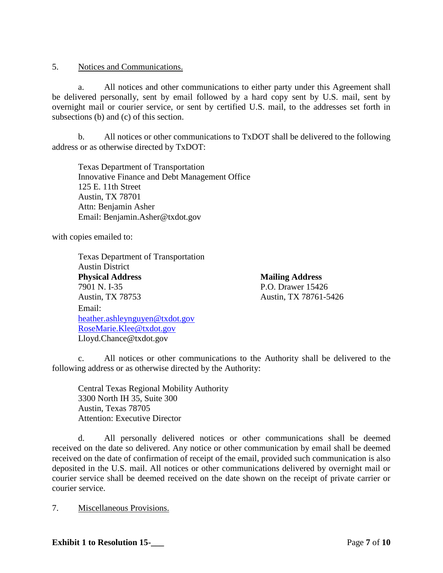5. Notices and Communications.

a. All notices and other communications to either party under this Agreement shall be delivered personally, sent by email followed by a hard copy sent by U.S. mail, sent by overnight mail or courier service, or sent by certified U.S. mail, to the addresses set forth in subsections (b) and (c) of this section.

b. All notices or other communications to TxDOT shall be delivered to the following address or as otherwise directed by TxDOT:

Texas Department of Transportation Innovative Finance and Debt Management Office 125 E. 11th Street Austin, TX 78701 Attn: Benjamin Asher Email: Benjamin.Asher@txdot.gov

with copies emailed to:

Texas Department of Transportation Austin District **Physical Address** Mailing Address 7901 N. I-35 P.O. Drawer 15426 Austin, TX 78753 Austin, TX 78761-5426 Email: [heather.ashleynguyen@txdot.gov](mailto:heather.ashleynguyen@txdot.gov) [RoseMarie.Klee@txdot.gov](mailto:RoseMarie.Klee@txdot.gov) Lloyd.Chance@txdot.gov

c. All notices or other communications to the Authority shall be delivered to the following address or as otherwise directed by the Authority:

Central Texas Regional Mobility Authority 3300 North IH 35, Suite 300 Austin, Texas 78705 Attention: Executive Director

d. All personally delivered notices or other communications shall be deemed received on the date so delivered. Any notice or other communication by email shall be deemed received on the date of confirmation of receipt of the email, provided such communication is also deposited in the U.S. mail. All notices or other communications delivered by overnight mail or courier service shall be deemed received on the date shown on the receipt of private carrier or courier service.

7. Miscellaneous Provisions.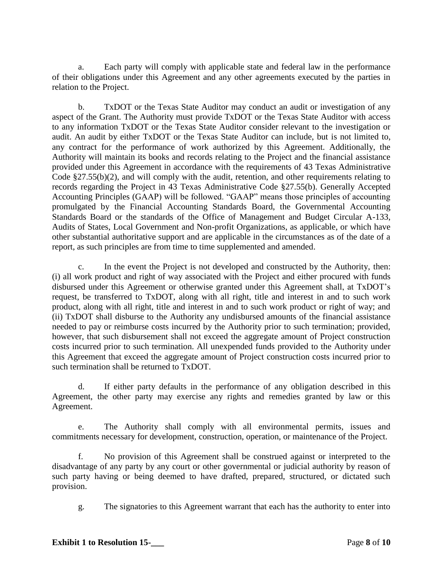a. Each party will comply with applicable state and federal law in the performance of their obligations under this Agreement and any other agreements executed by the parties in relation to the Project.

b. TxDOT or the Texas State Auditor may conduct an audit or investigation of any aspect of the Grant. The Authority must provide TxDOT or the Texas State Auditor with access to any information TxDOT or the Texas State Auditor consider relevant to the investigation or audit. An audit by either TxDOT or the Texas State Auditor can include, but is not limited to, any contract for the performance of work authorized by this Agreement. Additionally, the Authority will maintain its books and records relating to the Project and the financial assistance provided under this Agreement in accordance with the requirements of 43 Texas Administrative Code §27.55(b)(2), and will comply with the audit, retention, and other requirements relating to records regarding the Project in 43 Texas Administrative Code §27.55(b). Generally Accepted Accounting Principles (GAAP) will be followed. "GAAP" means those principles of accounting promulgated by the Financial Accounting Standards Board, the Governmental Accounting Standards Board or the standards of the Office of Management and Budget Circular A-133, Audits of States, Local Government and Non-profit Organizations, as applicable, or which have other substantial authoritative support and are applicable in the circumstances as of the date of a report, as such principles are from time to time supplemented and amended.

c. In the event the Project is not developed and constructed by the Authority, then: (i) all work product and right of way associated with the Project and either procured with funds disbursed under this Agreement or otherwise granted under this Agreement shall, at TxDOT's request, be transferred to TxDOT, along with all right, title and interest in and to such work product, along with all right, title and interest in and to such work product or right of way; and (ii) TxDOT shall disburse to the Authority any undisbursed amounts of the financial assistance needed to pay or reimburse costs incurred by the Authority prior to such termination; provided, however, that such disbursement shall not exceed the aggregate amount of Project construction costs incurred prior to such termination. All unexpended funds provided to the Authority under this Agreement that exceed the aggregate amount of Project construction costs incurred prior to such termination shall be returned to TxDOT.

d. If either party defaults in the performance of any obligation described in this Agreement, the other party may exercise any rights and remedies granted by law or this Agreement.

e. The Authority shall comply with all environmental permits, issues and commitments necessary for development, construction, operation, or maintenance of the Project.

f. No provision of this Agreement shall be construed against or interpreted to the disadvantage of any party by any court or other governmental or judicial authority by reason of such party having or being deemed to have drafted, prepared, structured, or dictated such provision.

g. The signatories to this Agreement warrant that each has the authority to enter into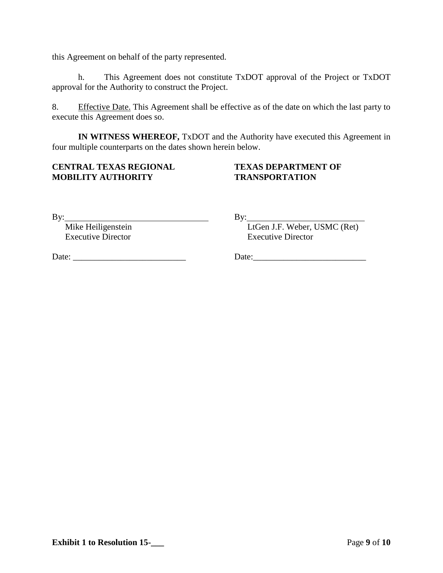this Agreement on behalf of the party represented.

h. This Agreement does not constitute TxDOT approval of the Project or TxDOT approval for the Authority to construct the Project.

8. Effective Date. This Agreement shall be effective as of the date on which the last party to execute this Agreement does so.

**IN WITNESS WHEREOF,** TxDOT and the Authority have executed this Agreement in four multiple counterparts on the dates shown herein below.

## **CENTRAL TEXAS REGIONAL TEXAS DEPARTMENT OF MOBILITY AUTHORITY TRANSPORTATION**

By: By:

Executive Director Executive Director

Mike Heiligenstein LtGen J.F. Weber, USMC (Ret)

Date: \_\_\_\_\_\_\_\_\_\_\_\_\_\_\_\_\_\_\_\_\_\_\_\_\_\_ Date:\_\_\_\_\_\_\_\_\_\_\_\_\_\_\_\_\_\_\_\_\_\_\_\_\_\_